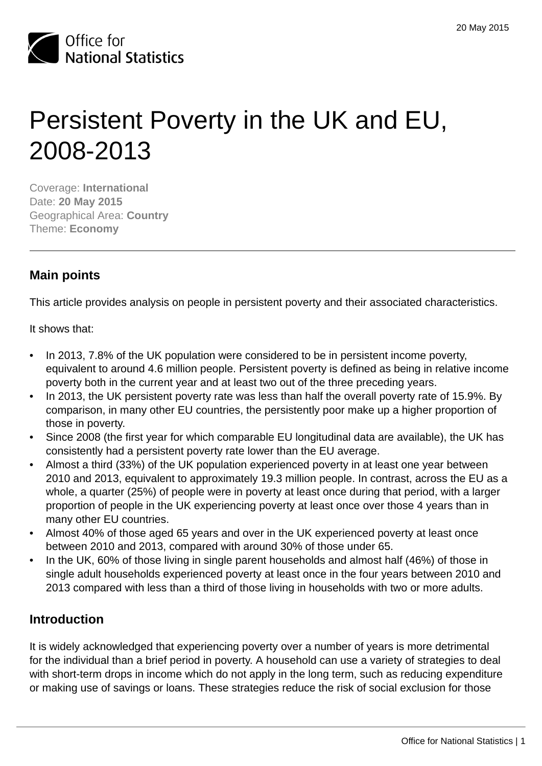

# Persistent Poverty in the UK and EU, 2008-2013

Coverage: **International** Date: **20 May 2015** Geographical Area: **Country** Theme: **Economy**

# **Main points**

This article provides analysis on people in persistent poverty and their associated characteristics.

It shows that:

- In 2013, 7.8% of the UK population were considered to be in persistent income poverty, equivalent to around 4.6 million people. Persistent poverty is defined as being in relative income poverty both in the current year and at least two out of the three preceding years.
- In 2013, the UK persistent poverty rate was less than half the overall poverty rate of 15.9%. By comparison, in many other EU countries, the persistently poor make up a higher proportion of those in poverty.
- Since 2008 (the first year for which comparable EU longitudinal data are available), the UK has consistently had a persistent poverty rate lower than the EU average.
- Almost a third (33%) of the UK population experienced poverty in at least one year between 2010 and 2013, equivalent to approximately 19.3 million people. In contrast, across the EU as a whole, a quarter (25%) of people were in poverty at least once during that period, with a larger proportion of people in the UK experiencing poverty at least once over those 4 years than in many other EU countries.
- Almost 40% of those aged 65 years and over in the UK experienced poverty at least once between 2010 and 2013, compared with around 30% of those under 65.
- In the UK, 60% of those living in single parent households and almost half (46%) of those in single adult households experienced poverty at least once in the four years between 2010 and 2013 compared with less than a third of those living in households with two or more adults.

# **Introduction**

It is widely acknowledged that experiencing poverty over a number of years is more detrimental for the individual than a brief period in poverty. A household can use a variety of strategies to deal with short-term drops in income which do not apply in the long term, such as reducing expenditure or making use of savings or loans. These strategies reduce the risk of social exclusion for those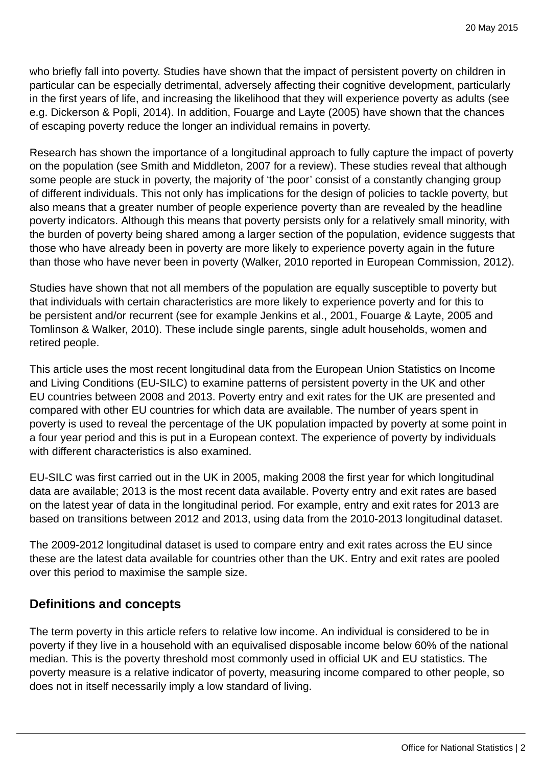who briefly fall into poverty. Studies have shown that the impact of persistent poverty on children in particular can be especially detrimental, adversely affecting their cognitive development, particularly in the first years of life, and increasing the likelihood that they will experience poverty as adults (see e.g. Dickerson & Popli, 2014). In addition, Fouarge and Layte (2005) have shown that the chances of escaping poverty reduce the longer an individual remains in poverty.

Research has shown the importance of a longitudinal approach to fully capture the impact of poverty on the population (see Smith and Middleton, 2007 for a review). These studies reveal that although some people are stuck in poverty, the majority of 'the poor' consist of a constantly changing group of different individuals. This not only has implications for the design of policies to tackle poverty, but also means that a greater number of people experience poverty than are revealed by the headline poverty indicators. Although this means that poverty persists only for a relatively small minority, with the burden of poverty being shared among a larger section of the population, evidence suggests that those who have already been in poverty are more likely to experience poverty again in the future than those who have never been in poverty (Walker, 2010 reported in European Commission, 2012).

Studies have shown that not all members of the population are equally susceptible to poverty but that individuals with certain characteristics are more likely to experience poverty and for this to be persistent and/or recurrent (see for example Jenkins et al., 2001, Fouarge & Layte, 2005 and Tomlinson & Walker, 2010). These include single parents, single adult households, women and retired people.

This article uses the most recent longitudinal data from the European Union Statistics on Income and Living Conditions (EU-SILC) to examine patterns of persistent poverty in the UK and other EU countries between 2008 and 2013. Poverty entry and exit rates for the UK are presented and compared with other EU countries for which data are available. The number of years spent in poverty is used to reveal the percentage of the UK population impacted by poverty at some point in a four year period and this is put in a European context. The experience of poverty by individuals with different characteristics is also examined.

EU-SILC was first carried out in the UK in 2005, making 2008 the first year for which longitudinal data are available; 2013 is the most recent data available. Poverty entry and exit rates are based on the latest year of data in the longitudinal period. For example, entry and exit rates for 2013 are based on transitions between 2012 and 2013, using data from the 2010-2013 longitudinal dataset.

The 2009-2012 longitudinal dataset is used to compare entry and exit rates across the EU since these are the latest data available for countries other than the UK. Entry and exit rates are pooled over this period to maximise the sample size.

## **Definitions and concepts**

The term poverty in this article refers to relative low income. An individual is considered to be in poverty if they live in a household with an equivalised disposable income below 60% of the national median. This is the poverty threshold most commonly used in official UK and EU statistics. The poverty measure is a relative indicator of poverty, measuring income compared to other people, so does not in itself necessarily imply a low standard of living.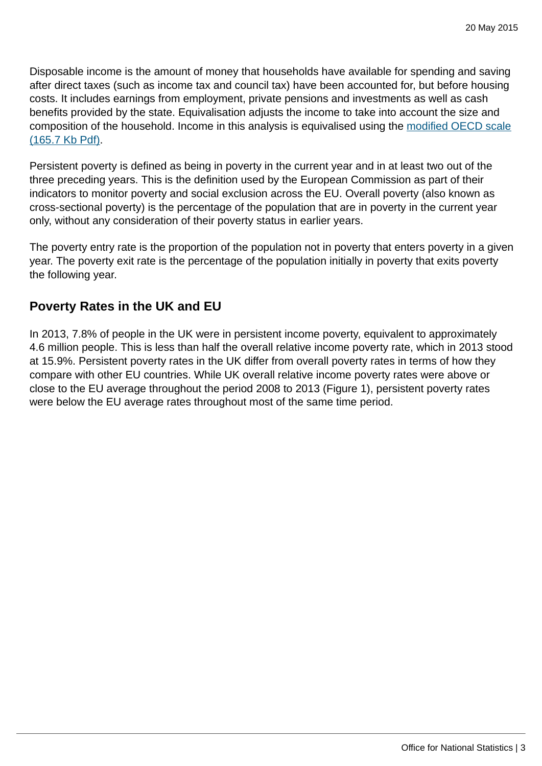Disposable income is the amount of money that households have available for spending and saving after direct taxes (such as income tax and council tax) have been accounted for, but before housing costs. It includes earnings from employment, private pensions and investments as well as cash benefits provided by the state. Equivalisation adjusts the income to take into account the size and composition of the household. Income in this analysis is equivalised using the [modified OECD scale](http://www.ons.gov.uk:80/ons/rel/elmr/economic-and-labour-market-review/no--1--january-2010/using-the-oecd-equivalence-scale-in-taxes-and-benefits-analysis.pdf) [\(165.7 Kb Pdf\).](http://www.ons.gov.uk:80/ons/rel/elmr/economic-and-labour-market-review/no--1--january-2010/using-the-oecd-equivalence-scale-in-taxes-and-benefits-analysis.pdf)

Persistent poverty is defined as being in poverty in the current year and in at least two out of the three preceding years. This is the definition used by the European Commission as part of their indicators to monitor poverty and social exclusion across the EU. Overall poverty (also known as cross-sectional poverty) is the percentage of the population that are in poverty in the current year only, without any consideration of their poverty status in earlier years.

The poverty entry rate is the proportion of the population not in poverty that enters poverty in a given year. The poverty exit rate is the percentage of the population initially in poverty that exits poverty the following year.

# **Poverty Rates in the UK and EU**

In 2013, 7.8% of people in the UK were in persistent income poverty, equivalent to approximately 4.6 million people. This is less than half the overall relative income poverty rate, which in 2013 stood at 15.9%. Persistent poverty rates in the UK differ from overall poverty rates in terms of how they compare with other EU countries. While UK overall relative income poverty rates were above or close to the EU average throughout the period 2008 to 2013 (Figure 1), persistent poverty rates were below the EU average rates throughout most of the same time period.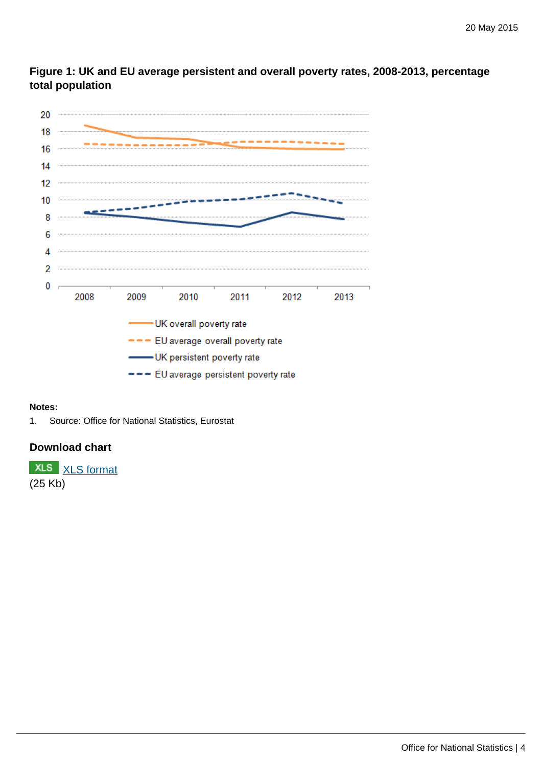

**Figure 1: UK and EU average persistent and overall poverty rates, 2008-2013, percentage total population**

#### **Notes:**

1. Source: Office for National Statistics, Eurostat

#### **Download chart**

**XLS** [XLS format](http://www.ons.gov.uk:80/ons/rel/household-income/persistent-poverty-in-the-uk-and-eu/2008-2013/chd-figure-1.xls) (25 Kb)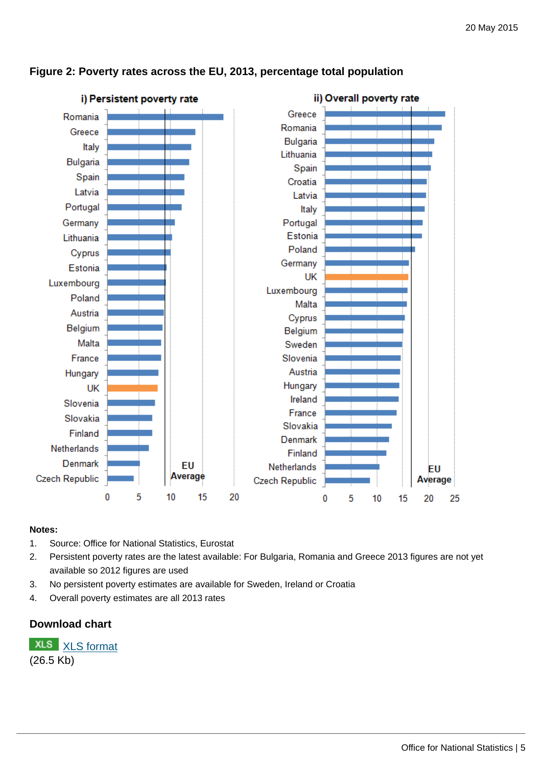

#### **Figure 2: Poverty rates across the EU, 2013, percentage total population**

#### **Notes:**

- 1. Source: Office for National Statistics, Eurostat
- 2. Persistent poverty rates are the latest available: For Bulgaria, Romania and Greece 2013 figures are not yet available so 2012 figures are used
- 3. No persistent poverty estimates are available for Sweden, Ireland or Croatia
- 4. Overall poverty estimates are all 2013 rates

## **Download chart**

**XLS** [XLS format](http://www.ons.gov.uk:80/ons/rel/household-income/persistent-poverty-in-the-uk-and-eu/2008-2013/chd-figure-2.xls) (26.5 Kb)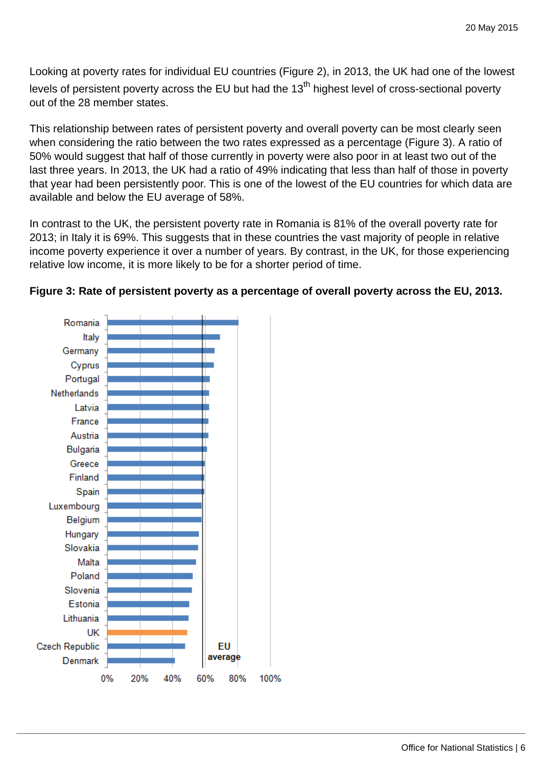Looking at poverty rates for individual EU countries (Figure 2), in 2013, the UK had one of the lowest levels of persistent poverty across the EU but had the 13<sup>th</sup> highest level of cross-sectional poverty out of the 28 member states.

This relationship between rates of persistent poverty and overall poverty can be most clearly seen when considering the ratio between the two rates expressed as a percentage (Figure 3). A ratio of 50% would suggest that half of those currently in poverty were also poor in at least two out of the last three years. In 2013, the UK had a ratio of 49% indicating that less than half of those in poverty that year had been persistently poor. This is one of the lowest of the EU countries for which data are available and below the EU average of 58%.

In contrast to the UK, the persistent poverty rate in Romania is 81% of the overall poverty rate for 2013; in Italy it is 69%. This suggests that in these countries the vast majority of people in relative income poverty experience it over a number of years. By contrast, in the UK, for those experiencing relative low income, it is more likely to be for a shorter period of time.



## **Figure 3: Rate of persistent poverty as a percentage of overall poverty across the EU, 2013.**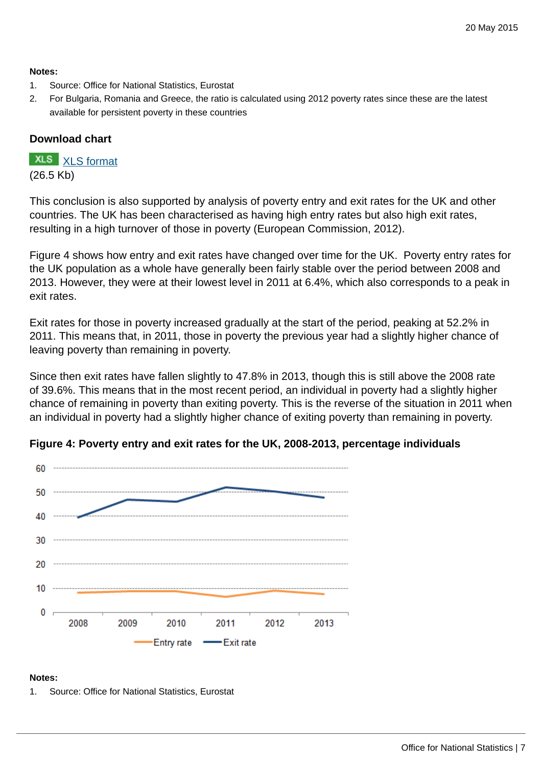#### **Notes:**

- 1. Source: Office for National Statistics, Eurostat
- 2. For Bulgaria, Romania and Greece, the ratio is calculated using 2012 poverty rates since these are the latest available for persistent poverty in these countries

## **Download chart**

# **XLS** [XLS format](http://www.ons.gov.uk:80/ons/rel/household-income/persistent-poverty-in-the-uk-and-eu/2008-2013/chd-figure-3.xls)

(26.5 Kb)

This conclusion is also supported by analysis of poverty entry and exit rates for the UK and other countries. The UK has been characterised as having high entry rates but also high exit rates, resulting in a high turnover of those in poverty (European Commission, 2012).

Figure 4 shows how entry and exit rates have changed over time for the UK. Poverty entry rates for the UK population as a whole have generally been fairly stable over the period between 2008 and 2013. However, they were at their lowest level in 2011 at 6.4%, which also corresponds to a peak in exit rates.

Exit rates for those in poverty increased gradually at the start of the period, peaking at 52.2% in 2011. This means that, in 2011, those in poverty the previous year had a slightly higher chance of leaving poverty than remaining in poverty.

Since then exit rates have fallen slightly to 47.8% in 2013, though this is still above the 2008 rate of 39.6%. This means that in the most recent period, an individual in poverty had a slightly higher chance of remaining in poverty than exiting poverty. This is the reverse of the situation in 2011 when an individual in poverty had a slightly higher chance of exiting poverty than remaining in poverty.



## **Figure 4: Poverty entry and exit rates for the UK, 2008-2013, percentage individuals**

#### **Notes:**

1. Source: Office for National Statistics, Eurostat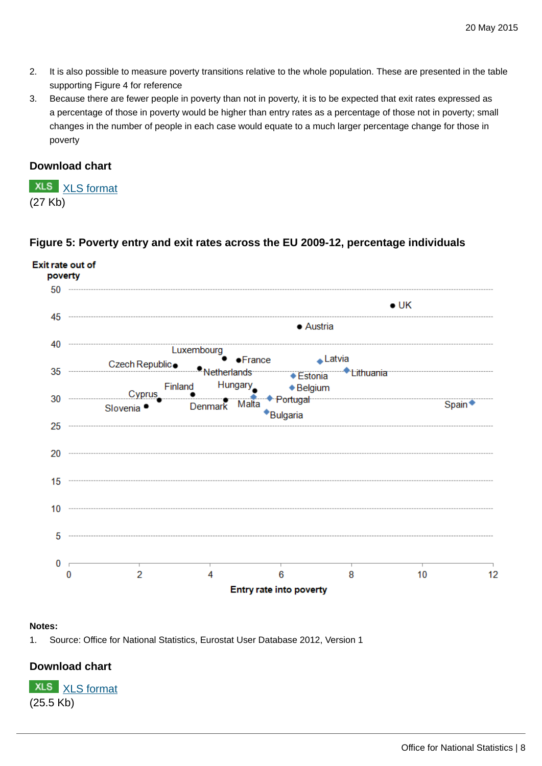- 2. It is also possible to measure poverty transitions relative to the whole population. These are presented in the table supporting Figure 4 for reference
- 3. Because there are fewer people in poverty than not in poverty, it is to be expected that exit rates expressed as a percentage of those in poverty would be higher than entry rates as a percentage of those not in poverty; small changes in the number of people in each case would equate to a much larger percentage change for those in poverty

#### **Download chart**

**XLS** [XLS format](http://www.ons.gov.uk:80/ons/rel/household-income/persistent-poverty-in-the-uk-and-eu/2008-2013/chd-figure-4.xls) (27 Kb)

## **Figure 5: Poverty entry and exit rates across the EU 2009-12, percentage individuals**



#### **Notes:**

1. Source: Office for National Statistics, Eurostat User Database 2012, Version 1

## **Download chart**

**XLS** [XLS format](http://www.ons.gov.uk:80/ons/rel/household-income/persistent-poverty-in-the-uk-and-eu/2008-2013/chd-figure-5.xls) (25.5 Kb)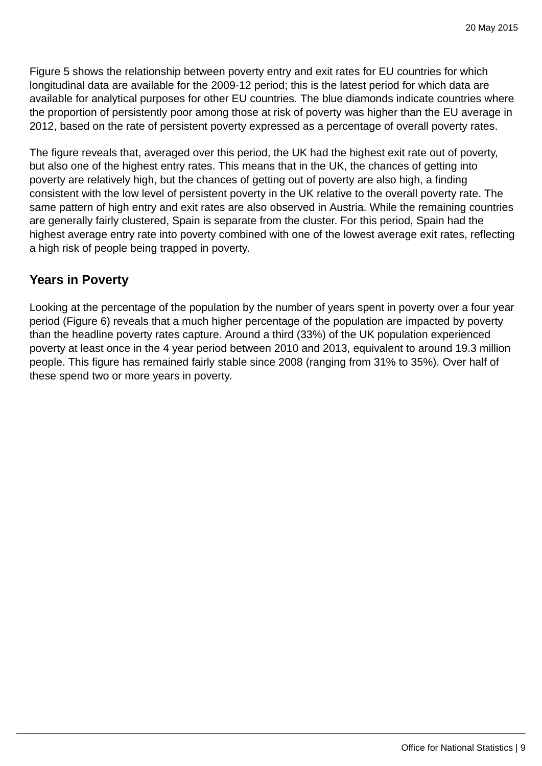Figure 5 shows the relationship between poverty entry and exit rates for EU countries for which longitudinal data are available for the 2009-12 period; this is the latest period for which data are available for analytical purposes for other EU countries. The blue diamonds indicate countries where the proportion of persistently poor among those at risk of poverty was higher than the EU average in 2012, based on the rate of persistent poverty expressed as a percentage of overall poverty rates.

The figure reveals that, averaged over this period, the UK had the highest exit rate out of poverty, but also one of the highest entry rates. This means that in the UK, the chances of getting into poverty are relatively high, but the chances of getting out of poverty are also high, a finding consistent with the low level of persistent poverty in the UK relative to the overall poverty rate. The same pattern of high entry and exit rates are also observed in Austria. While the remaining countries are generally fairly clustered, Spain is separate from the cluster. For this period, Spain had the highest average entry rate into poverty combined with one of the lowest average exit rates, reflecting a high risk of people being trapped in poverty.

# **Years in Poverty**

Looking at the percentage of the population by the number of years spent in poverty over a four year period (Figure 6) reveals that a much higher percentage of the population are impacted by poverty than the headline poverty rates capture. Around a third (33%) of the UK population experienced poverty at least once in the 4 year period between 2010 and 2013, equivalent to around 19.3 million people. This figure has remained fairly stable since 2008 (ranging from 31% to 35%). Over half of these spend two or more years in poverty.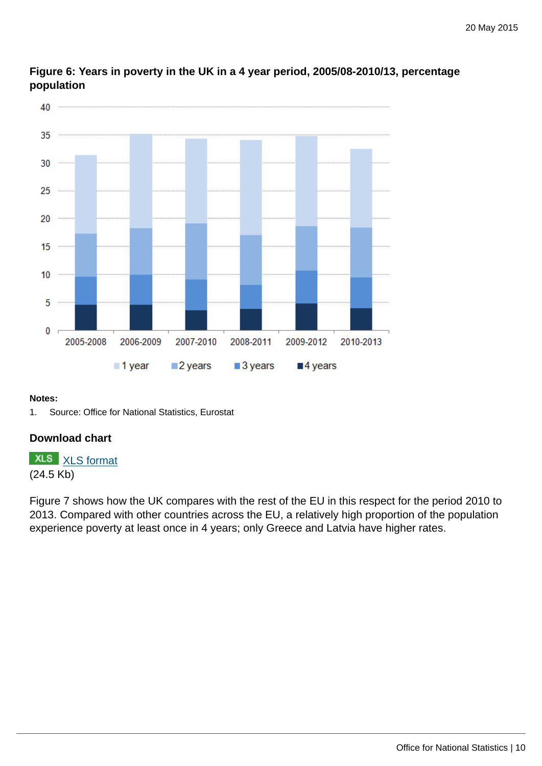

## **Figure 6: Years in poverty in the UK in a 4 year period, 2005/08-2010/13, percentage population**

#### **Notes:**

1. Source: Office for National Statistics, Eurostat

## **Download chart**

**XLS** [XLS format](http://www.ons.gov.uk:80/ons/rel/household-income/persistent-poverty-in-the-uk-and-eu/2008-2013/chd-figure-6.xls) (24.5 Kb)

Figure 7 shows how the UK compares with the rest of the EU in this respect for the period 2010 to 2013. Compared with other countries across the EU, a relatively high proportion of the population experience poverty at least once in 4 years; only Greece and Latvia have higher rates.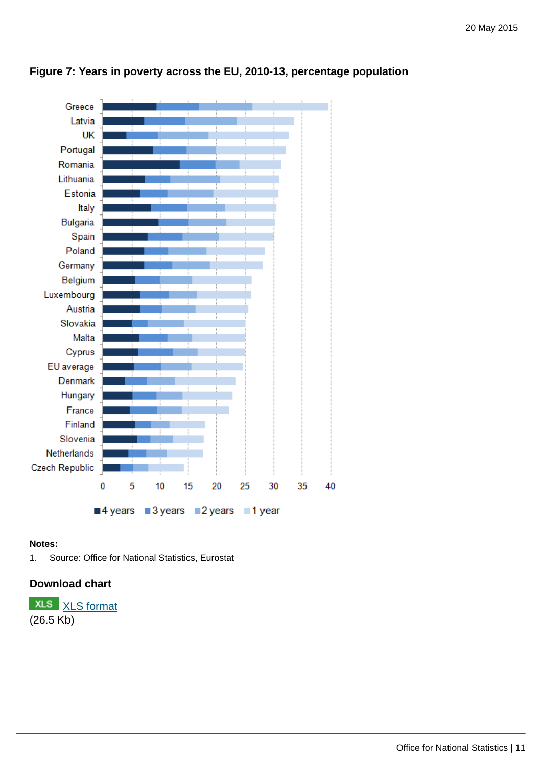

## **Figure 7: Years in poverty across the EU, 2010-13, percentage population**

#### **Notes:**

1. Source: Office for National Statistics, Eurostat

#### **Download chart**

**XLS** [XLS format](http://www.ons.gov.uk:80/ons/rel/household-income/persistent-poverty-in-the-uk-and-eu/2008-2013/chd-figure-7.xls) (26.5 Kb)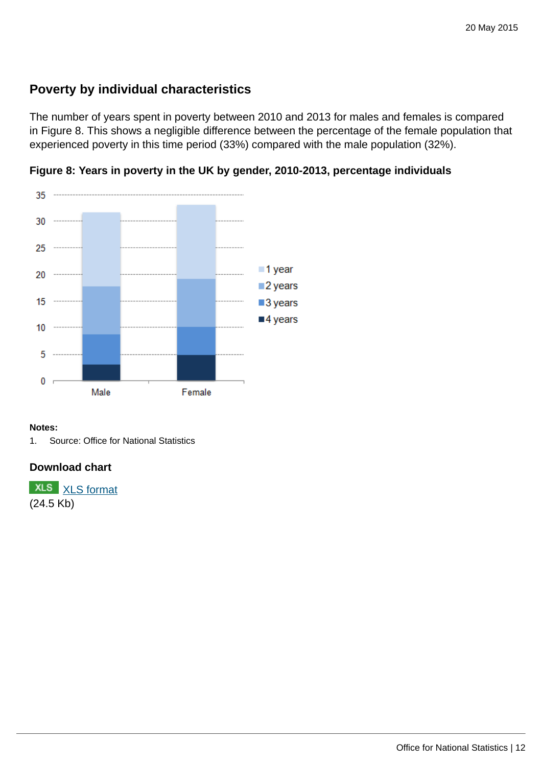# **Poverty by individual characteristics**

The number of years spent in poverty between 2010 and 2013 for males and females is compared in Figure 8. This shows a negligible difference between the percentage of the female population that experienced poverty in this time period (33%) compared with the male population (32%).



**Figure 8: Years in poverty in the UK by gender, 2010-2013, percentage individuals**

#### **Notes:**

1. Source: Office for National Statistics

#### **Download chart**

**XLS** [XLS format](http://www.ons.gov.uk:80/ons/rel/household-income/persistent-poverty-in-the-uk-and-eu/2008-2013/chd-figure-8.xls) (24.5 Kb)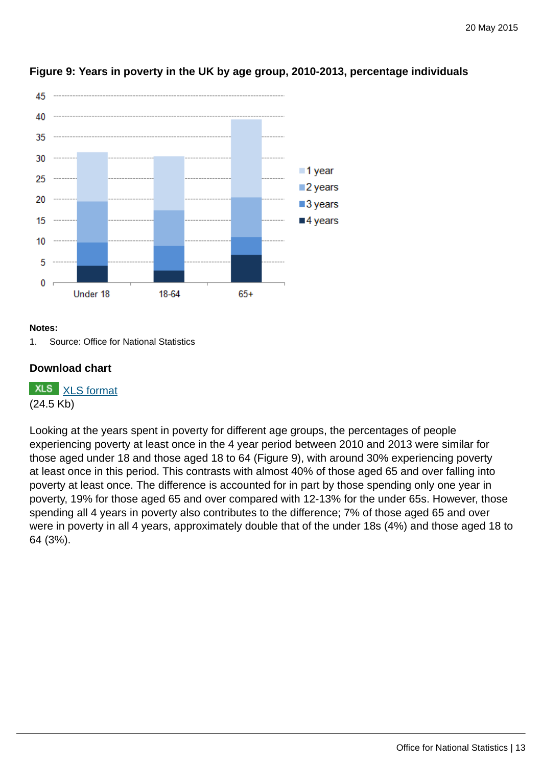

## **Figure 9: Years in poverty in the UK by age group, 2010-2013, percentage individuals**

#### **Notes:**

1. Source: Office for National Statistics

#### **Download chart**

**XLS** [XLS format](http://www.ons.gov.uk:80/ons/rel/household-income/persistent-poverty-in-the-uk-and-eu/2008-2013/chd-figure-9.xls) (24.5 Kb)

Looking at the years spent in poverty for different age groups, the percentages of people experiencing poverty at least once in the 4 year period between 2010 and 2013 were similar for those aged under 18 and those aged 18 to 64 (Figure 9), with around 30% experiencing poverty at least once in this period. This contrasts with almost 40% of those aged 65 and over falling into poverty at least once. The difference is accounted for in part by those spending only one year in poverty, 19% for those aged 65 and over compared with 12-13% for the under 65s. However, those spending all 4 years in poverty also contributes to the difference; 7% of those aged 65 and over were in poverty in all 4 years, approximately double that of the under 18s (4%) and those aged 18 to 64 (3%).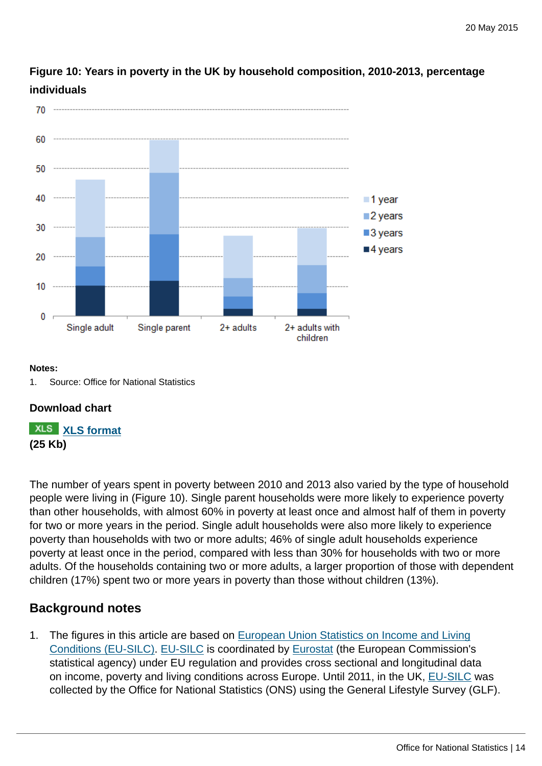

**Figure 10: Years in poverty in the UK by household composition, 2010-2013, percentage individuals**

#### **Notes:**

#### **Download chart**

**[XLS format](http://www.ons.gov.uk:80/ons/rel/household-income/persistent-poverty-in-the-uk-and-eu/2008-2013/chd-figure-10.xls) (25 Kb)**

The number of years spent in poverty between 2010 and 2013 also varied by the type of household people were living in (Figure 10). Single parent households were more likely to experience poverty than other households, with almost 60% in poverty at least once and almost half of them in poverty for two or more years in the period. Single adult households were also more likely to experience poverty than households with two or more adults; 46% of single adult households experience poverty at least once in the period, compared with less than 30% for households with two or more adults. Of the households containing two or more adults, a larger proportion of those with dependent children (17%) spent two or more years in poverty than those without children (13%).

## **Background notes**

1. The figures in this article are based on [European Union Statistics on Income and Living](http://ec.europa.eu/eurostat/web/microdata/european_union_statistics_on_income_and_living_conditions) [Conditions \(EU-SILC\). EU-SILC](http://ec.europa.eu/eurostat/web/microdata/european_union_statistics_on_income_and_living_conditions) is coordinated by [Eurostat](http://ec.europa.eu/eurostat) (the European Commission's statistical agency) under EU regulation and provides cross sectional and longitudinal data on income, poverty and living conditions across Europe. Until 2011, in the UK, [EU-SILC](http://ec.europa.eu/eurostat/web/microdata/european_union_statistics_on_income_and_living_conditions) was collected by the Office for National Statistics (ONS) using the General Lifestyle Survey (GLF).

<sup>1.</sup> Source: Office for National Statistics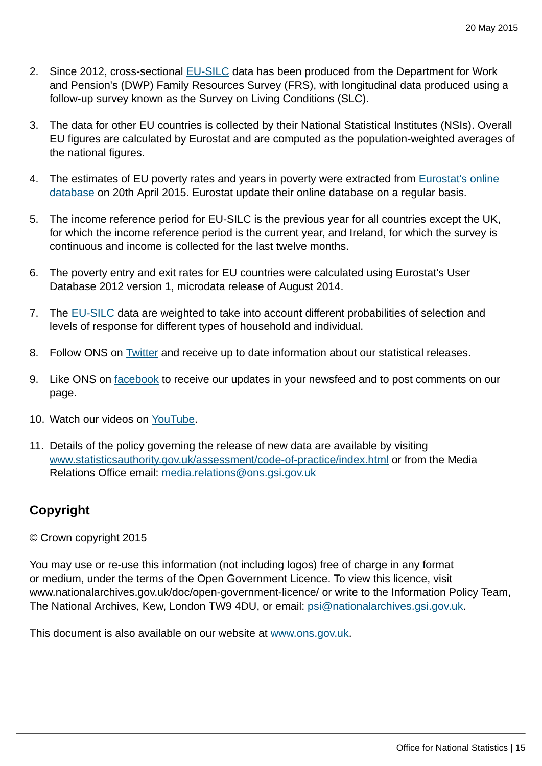- 2. Since 2012, cross-sectional [EU-SILC](http://ec.europa.eu/eurostat/web/microdata/european_union_statistics_on_income_and_living_conditions) data has been produced from the Department for Work and Pension's (DWP) Family Resources Survey (FRS), with longitudinal data produced using a follow-up survey known as the Survey on Living Conditions (SLC).
- 3. The data for other EU countries is collected by their National Statistical Institutes (NSIs). Overall EU figures are calculated by Eurostat and are computed as the population-weighted averages of the national figures.
- 4. The estimates of EU poverty rates and years in poverty were extracted from [Eurostat's online](http://ec.europa.eu/eurostat/web/income-and-living-conditions/data/database) [database](http://ec.europa.eu/eurostat/web/income-and-living-conditions/data/database) on 20th April 2015. Eurostat update their online database on a regular basis.
- 5. The income reference period for EU-SILC is the previous year for all countries except the UK, for which the income reference period is the current year, and Ireland, for which the survey is continuous and income is collected for the last twelve months.
- 6. The poverty entry and exit rates for EU countries were calculated using Eurostat's User Database 2012 version 1, microdata release of August 2014.
- 7. The [EU-SILC](http://ec.europa.eu/eurostat/web/microdata/european_union_statistics_on_income_and_living_conditions) data are weighted to take into account different probabilities of selection and levels of response for different types of household and individual.
- 8. Follow ONS on [Twitter](https://twitter.com/ONS) and receive up to date information about our statistical releases.
- 9. Like ONS on [facebook](https://www.facebook.com/ONS) to receive our updates in your newsfeed and to post comments on our page.
- 10. Watch our videos on [YouTube.](https://www.youtube.com/user/onsstats)
- 11. Details of the policy governing the release of new data are available by visiting [www.statisticsauthority.gov.uk/assessment/code-of-practice/index.html](http://www.statisticsauthority.gov.uk/assessment/code-of-practice/index.html) or from the Media Relations Office email: [media.relations@ons.gsi.gov.uk](mailto:media.relations@ons.gsi.gov.uk)

# **Copyright**

#### © Crown copyright 2015

You may use or re-use this information (not including logos) free of charge in any format or medium, under the terms of the Open Government Licence. To view this licence, visit www.nationalarchives.gov.uk/doc/open-government-licence/ or write to the Information Policy Team, The National Archives, Kew, London TW9 4DU, or email: [psi@nationalarchives.gsi.gov.uk](mailto:psi@nationalarchives.gsi.gov.uk).

This document is also available on our website at [www.ons.gov.uk.](http://www.ons.gov.uk/)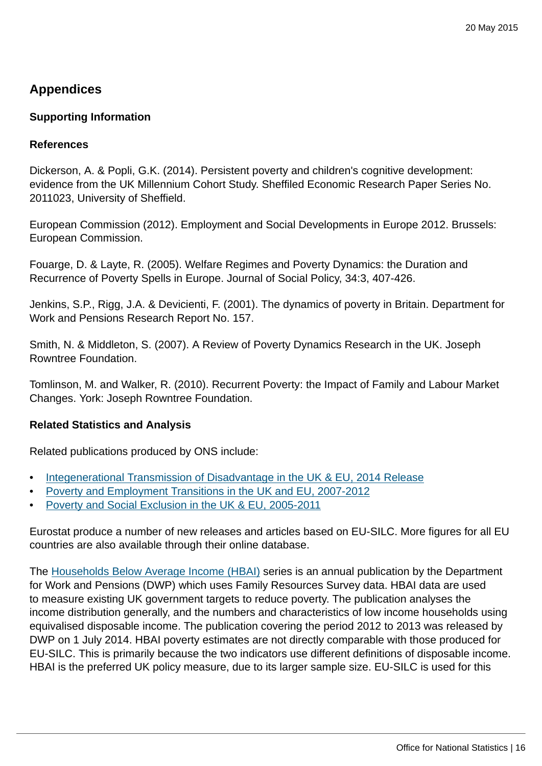# **Appendices**

#### **Supporting Information**

#### **References**

Dickerson, A. & Popli, G.K. (2014). Persistent poverty and children's cognitive development: evidence from the UK Millennium Cohort Study. Sheffiled Economic Research Paper Series No. 2011023, University of Sheffield.

European Commission (2012). Employment and Social Developments in Europe 2012. Brussels: European Commission.

Fouarge, D. & Layte, R. (2005). Welfare Regimes and Poverty Dynamics: the Duration and Recurrence of Poverty Spells in Europe. Journal of Social Policy, 34:3, 407-426.

Jenkins, S.P., Rigg, J.A. & Devicienti, F. (2001). The dynamics of poverty in Britain. Department for Work and Pensions Research Report No. 157.

Smith, N. & Middleton, S. (2007). A Review of Poverty Dynamics Research in the UK. Joseph Rowntree Foundation.

Tomlinson, M. and Walker, R. (2010). Recurrent Poverty: the Impact of Family and Labour Market Changes. York: Joseph Rowntree Foundation.

#### **Related Statistics and Analysis**

Related publications produced by ONS include:

- [Integenerational Transmission of Disadvantage in the UK & EU, 2014 Release](http://www.ons.gov.uk:80/ons/rel/household-income/intergenerational-transmission-of-poverty-in-the-uk---eu/2014.html)
- [Poverty and Employment Transitions in the UK and EU, 2007-2012](http://www.ons.gov.uk:80/ons/rel/household-income/poverty-and-employment-transitions-in-the-uk-and-eu/2007-2012.html)
- [Poverty and Social Exclusion in the UK & EU, 2005-2011](http://www.ons.gov.uk:80/ons/rel/household-income/poverty-and-social-exclusion-in-the-uk-and-eu/2005-2011.html)

Eurostat produce a number of new releases and articles based on EU-SILC. More figures for all EU countries are also available through their online database.

The [Households Below Average Income \(HBAI\)](https://www.gov.uk/government/statistics/households-below-average-income-hbai-199495-to-201213) series is an annual publication by the Department for Work and Pensions (DWP) which uses Family Resources Survey data. HBAI data are used to measure existing UK government targets to reduce poverty. The publication analyses the income distribution generally, and the numbers and characteristics of low income households using equivalised disposable income. The publication covering the period 2012 to 2013 was released by DWP on 1 July 2014. HBAI poverty estimates are not directly comparable with those produced for EU-SILC. This is primarily because the two indicators use different definitions of disposable income. HBAI is the preferred UK policy measure, due to its larger sample size. EU-SILC is used for this